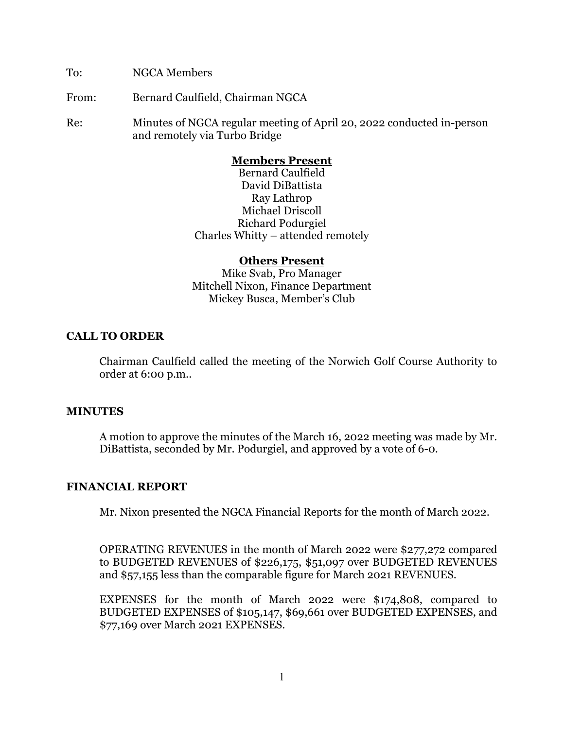To: NGCA Members

From: Bernard Caulfield, Chairman NGCA

Re: Minutes of NGCA regular meeting of April 20, 2022 conducted in-person and remotely via Turbo Bridge

## **Members Present**

Bernard Caulfield David DiBattista Ray Lathrop Michael Driscoll Richard Podurgiel Charles Whitty – attended remotely

#### **Others Present**

Mike Svab, Pro Manager Mitchell Nixon, Finance Department Mickey Busca, Member's Club

## **CALL TO ORDER**

Chairman Caulfield called the meeting of the Norwich Golf Course Authority to order at 6:00 p.m..

#### **MINUTES**

A motion to approve the minutes of the March 16, 2022 meeting was made by Mr. DiBattista, seconded by Mr. Podurgiel, and approved by a vote of 6-0.

#### **FINANCIAL REPORT**

Mr. Nixon presented the NGCA Financial Reports for the month of March 2022.

OPERATING REVENUES in the month of March 2022 were \$277,272 compared to BUDGETED REVENUES of \$226,175, \$51,097 over BUDGETED REVENUES and \$57,155 less than the comparable figure for March 2021 REVENUES.

EXPENSES for the month of March 2022 were \$174,808, compared to BUDGETED EXPENSES of \$105,147, \$69,661 over BUDGETED EXPENSES, and \$77,169 over March 2021 EXPENSES.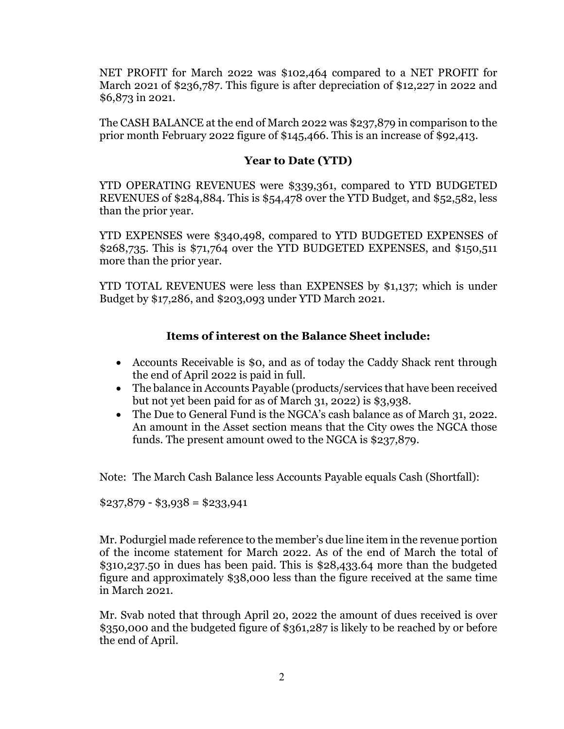NET PROFIT for March 2022 was \$102,464 compared to a NET PROFIT for March 2021 of \$236,787. This figure is after depreciation of \$12,227 in 2022 and \$6,873 in 2021.

The CASH BALANCE at the end of March 2022 was \$237,879 in comparison to the prior month February 2022 figure of \$145,466. This is an increase of \$92,413.

# **Year to Date (YTD)**

YTD OPERATING REVENUES were \$339,361, compared to YTD BUDGETED REVENUES of \$284,884. This is \$54,478 over the YTD Budget, and \$52,582, less than the prior year.

YTD EXPENSES were \$340,498, compared to YTD BUDGETED EXPENSES of \$268,735. This is \$71,764 over the YTD BUDGETED EXPENSES, and \$150,511 more than the prior year.

YTD TOTAL REVENUES were less than EXPENSES by \$1,137; which is under Budget by \$17,286, and \$203,093 under YTD March 2021.

## **Items of interest on the Balance Sheet include:**

- Accounts Receivable is \$0, and as of today the Caddy Shack rent through the end of April 2022 is paid in full.
- The balance in Accounts Payable (products/services that have been received but not yet been paid for as of March 31, 2022) is \$3,938.
- The Due to General Fund is the NGCA's cash balance as of March 31, 2022. An amount in the Asset section means that the City owes the NGCA those funds. The present amount owed to the NGCA is \$237,879.

Note: The March Cash Balance less Accounts Payable equals Cash (Shortfall):

 $$237,879 - $3,938 = $233,941$ 

Mr. Podurgiel made reference to the member's due line item in the revenue portion of the income statement for March 2022. As of the end of March the total of \$310,237.50 in dues has been paid. This is \$28,433.64 more than the budgeted figure and approximately \$38,000 less than the figure received at the same time in March 2021.

Mr. Svab noted that through April 20, 2022 the amount of dues received is over \$350,000 and the budgeted figure of \$361,287 is likely to be reached by or before the end of April.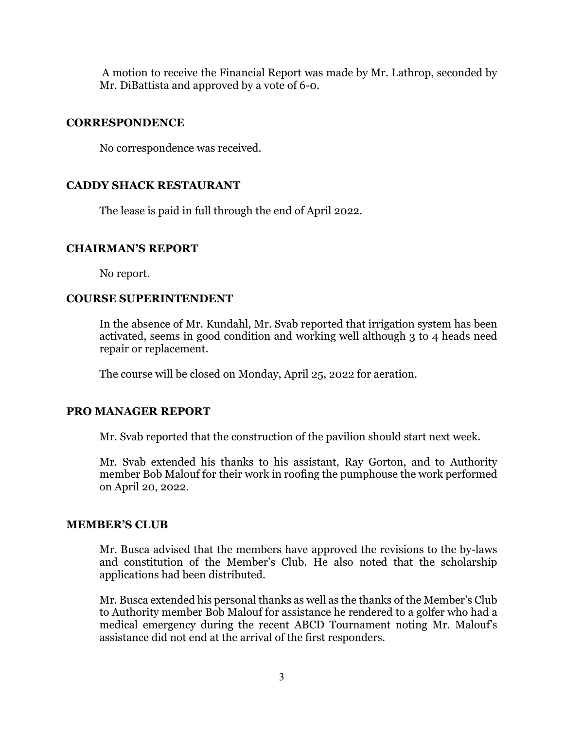A motion to receive the Financial Report was made by Mr. Lathrop, seconded by Mr. DiBattista and approved by a vote of 6-0.

#### **CORRESPONDENCE**

No correspondence was received.

## **CADDY SHACK RESTAURANT**

The lease is paid in full through the end of April 2022.

#### **CHAIRMAN'S REPORT**

No report.

## **COURSE SUPERINTENDENT**

In the absence of Mr. Kundahl, Mr. Svab reported that irrigation system has been activated, seems in good condition and working well although 3 to 4 heads need repair or replacement.

The course will be closed on Monday, April 25, 2022 for aeration.

#### **PRO MANAGER REPORT**

Mr. Svab reported that the construction of the pavilion should start next week.

Mr. Svab extended his thanks to his assistant, Ray Gorton, and to Authority member Bob Malouf for their work in roofing the pumphouse the work performed on April 20, 2022.

#### **MEMBER'S CLUB**

Mr. Busca advised that the members have approved the revisions to the by-laws and constitution of the Member's Club. He also noted that the scholarship applications had been distributed.

Mr. Busca extended his personal thanks as well as the thanks of the Member's Club to Authority member Bob Malouf for assistance he rendered to a golfer who had a medical emergency during the recent ABCD Tournament noting Mr. Malouf's assistance did not end at the arrival of the first responders.